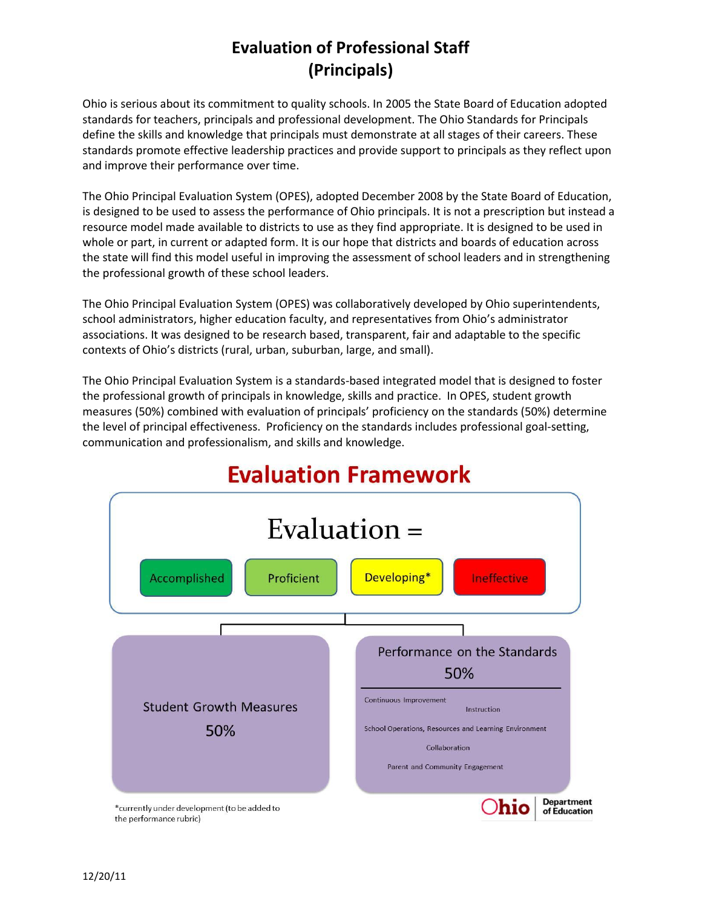## **Evaluation of Professional Staff (Principals)**

Ohio is serious about its commitment to quality schools. In 2005 the State Board of Education adopted standards for teachers, principals and professional development. The Ohio Standards for Principals define the skills and knowledge that principals must demonstrate at all stages of their careers. These standards promote effective leadership practices and provide support to principals as they reflect upon and improve their performance over time.

The Ohio Principal Evaluation System (OPES), adopted December 2008 by the State Board of Education, is designed to be used to assess the performance of Ohio principals. It is not a prescription but instead a resource model made available to districts to use as they find appropriate. It is designed to be used in whole or part, in current or adapted form. It is our hope that districts and boards of education across the state will find this model useful in improving the assessment of school leaders and in strengthening the professional growth of these school leaders.

The Ohio Principal Evaluation System (OPES) was collaboratively developed by Ohio superintendents, school administrators, higher education faculty, and representatives from Ohio's administrator associations. It was designed to be research based, transparent, fair and adaptable to the specific contexts of Ohio's districts (rural, urban, suburban, large, and small).

The Ohio Principal Evaluation System is a standards-based integrated model that is designed to foster the professional growth of principals in knowledge, skills and practice. In OPES, student growth measures (50%) combined with evaluation of principals' proficiency on the standards (50%) determine the level of principal effectiveness. Proficiency on the standards includes professional goal-setting, communication and professionalism, and skills and knowledge.



## **Evaluation Framework**